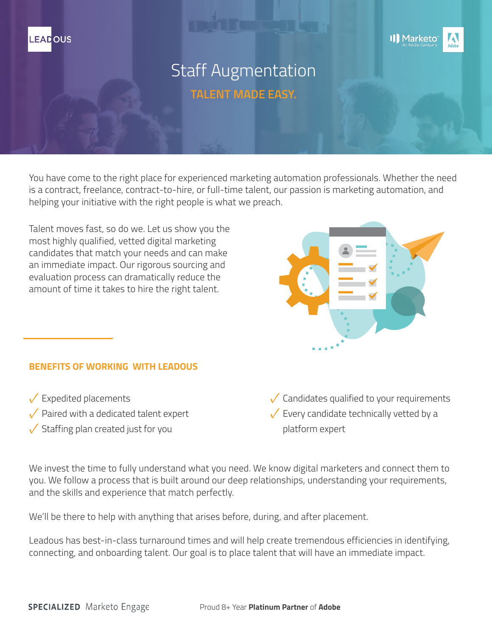



# Staff Augmentation **TALENT MADE EASY.**

You have come to the right place for experienced marketing automation professionals. Whether the need is a contract, freelance, contract-to-hire, or full-time talent, our passion is marketing automation, and helping your initiative with the right people is what we preach.

Talent moves fast, so do we. Let us show you the most highly qualified, vetted digital marketing candidates that match your needs and can make an immediate impact. Our rigorous sourcing and evaluation process can dramatically reduce the amount of time it takes to hire the right talent.



# **BENEFITS OF WORKING WITH LEADOUS**

 $\checkmark$  Expedited placements  $\sqrt{\phantom{a}}$  Paired with a dedicated talent expert  $\checkmark$  Staffing plan created just for you

 $\checkmark$  Candidates qualified to your requirements  $\checkmark$  Every candidate technically vetted by a platform expert

We invest the time to fully understand what you need. We know digital marketers and connect them to you. We follow a process that is built around our deep relationships, understanding your requirements, and the skills and experience that match perfectly.

We'll be there to help with anything that arises before, during, and after placement.

Leadous has best-in-class turnaround times and will help create tremendous efficiencies in identifying, connecting, and onboarding talent. Our goal is to place talent that will have an immediate impact.